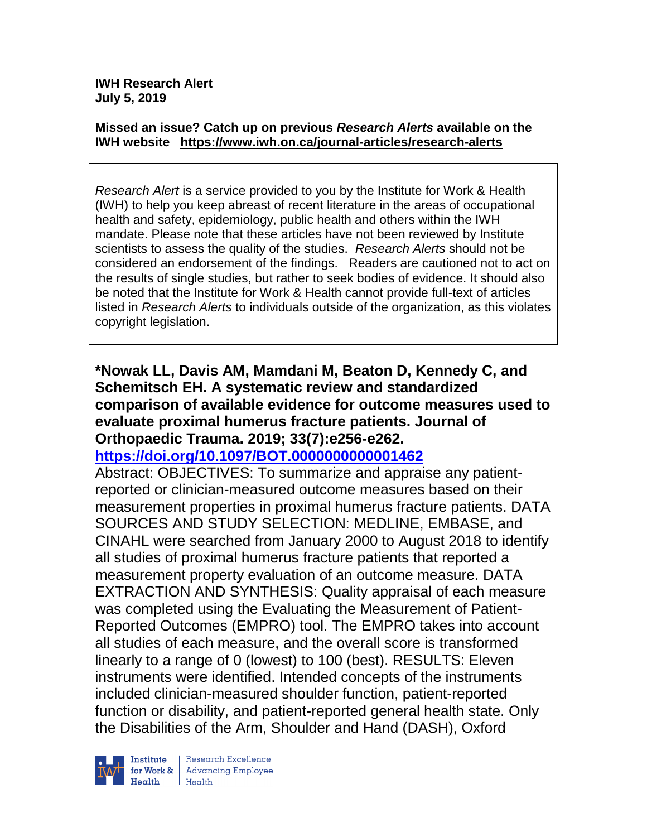#### **Missed an issue? Catch up on previous** *Research Alerts* **available on the [IWH website](http://www.iwh.on.ca/research-alerts) <https://www.iwh.on.ca/journal-articles/research-alerts>**

*Research Alert* is a service provided to you by the Institute for Work & Health (IWH) to help you keep abreast of recent literature in the areas of occupational health and safety, epidemiology, public health and others within the IWH mandate. Please note that these articles have not been reviewed by Institute scientists to assess the quality of the studies. *Research Alerts* should not be considered an endorsement of the findings. Readers are cautioned not to act on the results of single studies, but rather to seek bodies of evidence. It should also be noted that the Institute for Work & Health cannot provide full-text of articles listed in *Research Alerts* to individuals outside of the organization, as this violates copyright legislation.

### **\*Nowak LL, Davis AM, Mamdani M, Beaton D, Kennedy C, and Schemitsch EH. A systematic review and standardized comparison of available evidence for outcome measures used to evaluate proximal humerus fracture patients. Journal of Orthopaedic Trauma. 2019; 33(7):e256-e262.**

**<https://doi.org/10.1097/BOT.0000000000001462>**

Abstract: OBJECTIVES: To summarize and appraise any patientreported or clinician-measured outcome measures based on their measurement properties in proximal humerus fracture patients. DATA SOURCES AND STUDY SELECTION: MEDLINE, EMBASE, and CINAHL were searched from January 2000 to August 2018 to identify all studies of proximal humerus fracture patients that reported a measurement property evaluation of an outcome measure. DATA EXTRACTION AND SYNTHESIS: Quality appraisal of each measure was completed using the Evaluating the Measurement of Patient-Reported Outcomes (EMPRO) tool. The EMPRO takes into account all studies of each measure, and the overall score is transformed linearly to a range of 0 (lowest) to 100 (best). RESULTS: Eleven instruments were identified. Intended concepts of the instruments included clinician-measured shoulder function, patient-reported function or disability, and patient-reported general health state. Only the Disabilities of the Arm, Shoulder and Hand (DASH), Oxford



Research Excellence for Work & | Advancing Employee Health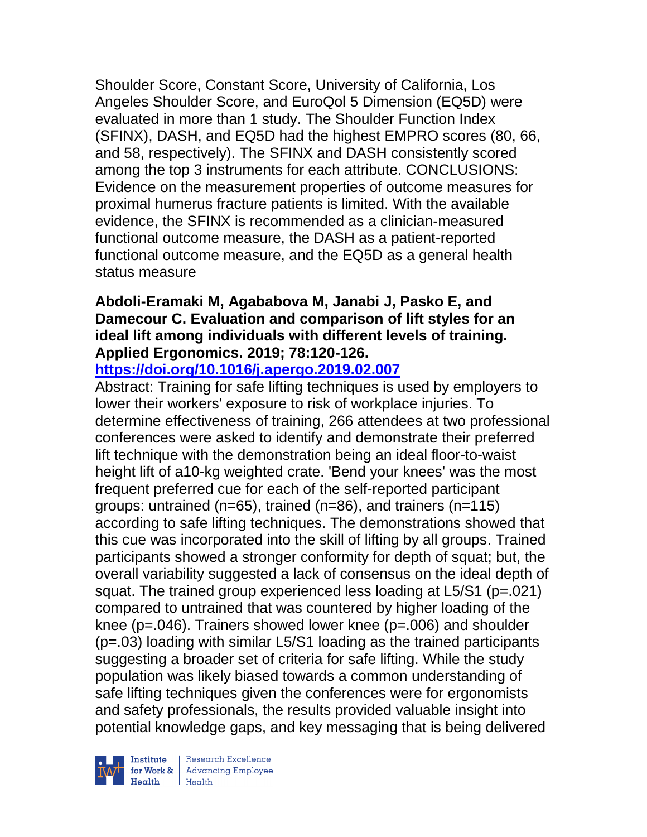Shoulder Score, Constant Score, University of California, Los Angeles Shoulder Score, and EuroQol 5 Dimension (EQ5D) were evaluated in more than 1 study. The Shoulder Function Index (SFINX), DASH, and EQ5D had the highest EMPRO scores (80, 66, and 58, respectively). The SFINX and DASH consistently scored among the top 3 instruments for each attribute. CONCLUSIONS: Evidence on the measurement properties of outcome measures for proximal humerus fracture patients is limited. With the available evidence, the SFINX is recommended as a clinician-measured functional outcome measure, the DASH as a patient-reported functional outcome measure, and the EQ5D as a general health status measure

### **Abdoli-Eramaki M, Agababova M, Janabi J, Pasko E, and Damecour C. Evaluation and comparison of lift styles for an ideal lift among individuals with different levels of training. Applied Ergonomics. 2019; 78:120-126.**

### **<https://doi.org/10.1016/j.apergo.2019.02.007>**

Abstract: Training for safe lifting techniques is used by employers to lower their workers' exposure to risk of workplace injuries. To determine effectiveness of training, 266 attendees at two professional conferences were asked to identify and demonstrate their preferred lift technique with the demonstration being an ideal floor-to-waist height lift of a10-kg weighted crate. 'Bend your knees' was the most frequent preferred cue for each of the self-reported participant groups: untrained (n=65), trained (n=86), and trainers (n=115) according to safe lifting techniques. The demonstrations showed that this cue was incorporated into the skill of lifting by all groups. Trained participants showed a stronger conformity for depth of squat; but, the overall variability suggested a lack of consensus on the ideal depth of squat. The trained group experienced less loading at L5/S1 (p=.021) compared to untrained that was countered by higher loading of the knee (p=.046). Trainers showed lower knee (p=.006) and shoulder (p=.03) loading with similar L5/S1 loading as the trained participants suggesting a broader set of criteria for safe lifting. While the study population was likely biased towards a common understanding of safe lifting techniques given the conferences were for ergonomists and safety professionals, the results provided valuable insight into potential knowledge gaps, and key messaging that is being delivered

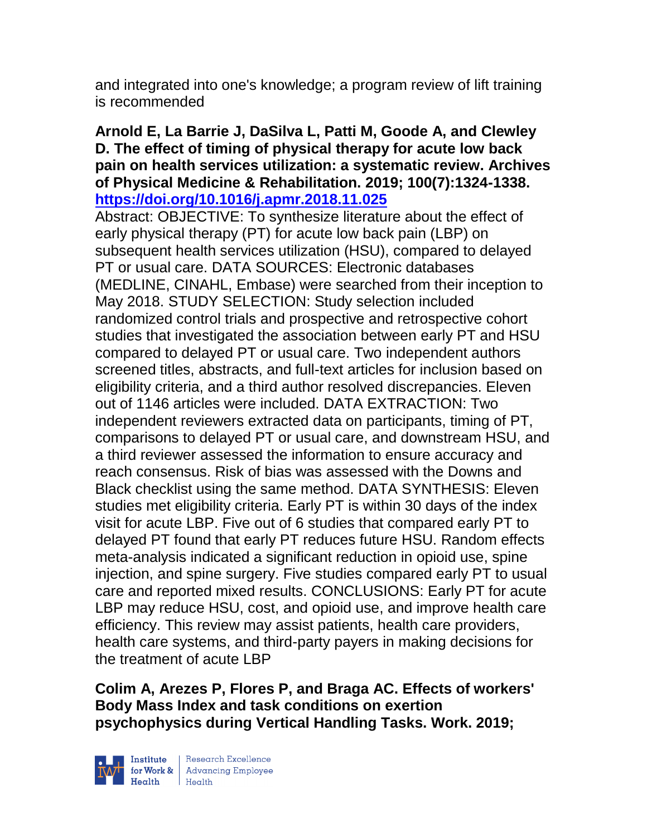and integrated into one's knowledge; a program review of lift training is recommended

### **Arnold E, La Barrie J, DaSilva L, Patti M, Goode A, and Clewley D. The effect of timing of physical therapy for acute low back pain on health services utilization: a systematic review. Archives of Physical Medicine & Rehabilitation. 2019; 100(7):1324-1338. <https://doi.org/10.1016/j.apmr.2018.11.025>**

Abstract: OBJECTIVE: To synthesize literature about the effect of early physical therapy (PT) for acute low back pain (LBP) on subsequent health services utilization (HSU), compared to delayed PT or usual care. DATA SOURCES: Electronic databases (MEDLINE, CINAHL, Embase) were searched from their inception to May 2018. STUDY SELECTION: Study selection included randomized control trials and prospective and retrospective cohort studies that investigated the association between early PT and HSU compared to delayed PT or usual care. Two independent authors screened titles, abstracts, and full-text articles for inclusion based on eligibility criteria, and a third author resolved discrepancies. Eleven out of 1146 articles were included. DATA EXTRACTION: Two independent reviewers extracted data on participants, timing of PT, comparisons to delayed PT or usual care, and downstream HSU, and a third reviewer assessed the information to ensure accuracy and reach consensus. Risk of bias was assessed with the Downs and Black checklist using the same method. DATA SYNTHESIS: Eleven studies met eligibility criteria. Early PT is within 30 days of the index visit for acute LBP. Five out of 6 studies that compared early PT to delayed PT found that early PT reduces future HSU. Random effects meta-analysis indicated a significant reduction in opioid use, spine injection, and spine surgery. Five studies compared early PT to usual care and reported mixed results. CONCLUSIONS: Early PT for acute LBP may reduce HSU, cost, and opioid use, and improve health care efficiency. This review may assist patients, health care providers, health care systems, and third-party payers in making decisions for the treatment of acute LBP

**Colim A, Arezes P, Flores P, and Braga AC. Effects of workers' Body Mass Index and task conditions on exertion psychophysics during Vertical Handling Tasks. Work. 2019;** 



| Research Excellence for Work & Advancing Employee<br>
Health Health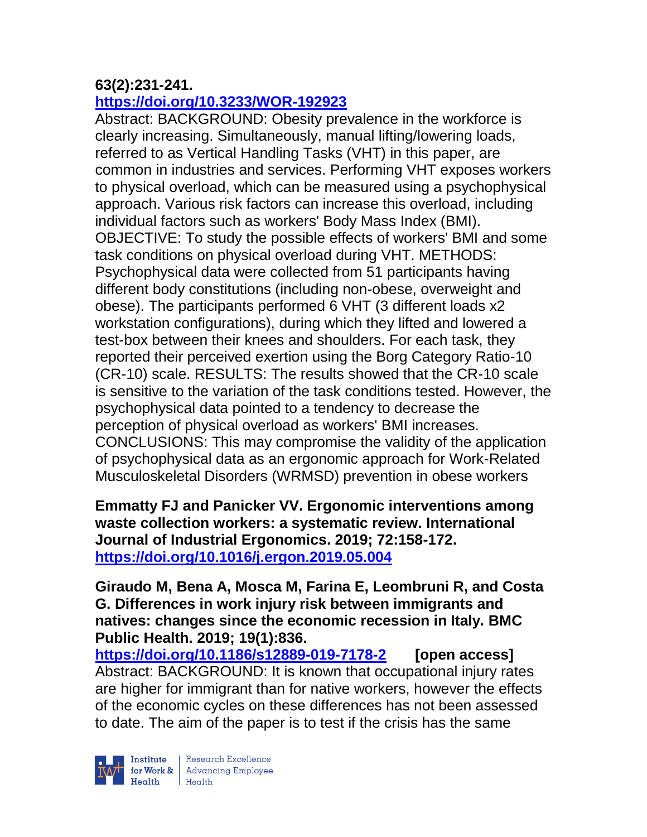### **63(2):231-241.**

### **<https://doi.org/10.3233/WOR-192923>**

Abstract: BACKGROUND: Obesity prevalence in the workforce is clearly increasing. Simultaneously, manual lifting/lowering loads, referred to as Vertical Handling Tasks (VHT) in this paper, are common in industries and services. Performing VHT exposes workers to physical overload, which can be measured using a psychophysical approach. Various risk factors can increase this overload, including individual factors such as workers' Body Mass Index (BMI). OBJECTIVE: To study the possible effects of workers' BMI and some task conditions on physical overload during VHT. METHODS: Psychophysical data were collected from 51 participants having different body constitutions (including non-obese, overweight and obese). The participants performed 6 VHT (3 different loads x2 workstation configurations), during which they lifted and lowered a test-box between their knees and shoulders. For each task, they reported their perceived exertion using the Borg Category Ratio-10 (CR-10) scale. RESULTS: The results showed that the CR-10 scale is sensitive to the variation of the task conditions tested. However, the psychophysical data pointed to a tendency to decrease the perception of physical overload as workers' BMI increases. CONCLUSIONS: This may compromise the validity of the application of psychophysical data as an ergonomic approach for Work-Related Musculoskeletal Disorders (WRMSD) prevention in obese workers

**Emmatty FJ and Panicker VV. Ergonomic interventions among waste collection workers: a systematic review. International Journal of Industrial Ergonomics. 2019; 72:158-172. <https://doi.org/10.1016/j.ergon.2019.05.004>** 

**Giraudo M, Bena A, Mosca M, Farina E, Leombruni R, and Costa G. Differences in work injury risk between immigrants and natives: changes since the economic recession in Italy. BMC Public Health. 2019; 19(1):836.**

**<https://doi.org/10.1186/s12889-019-7178-2>[open access]** Abstract: BACKGROUND: It is known that occupational injury rates are higher for immigrant than for native workers, however the effects of the economic cycles on these differences has not been assessed to date. The aim of the paper is to test if the crisis has the same

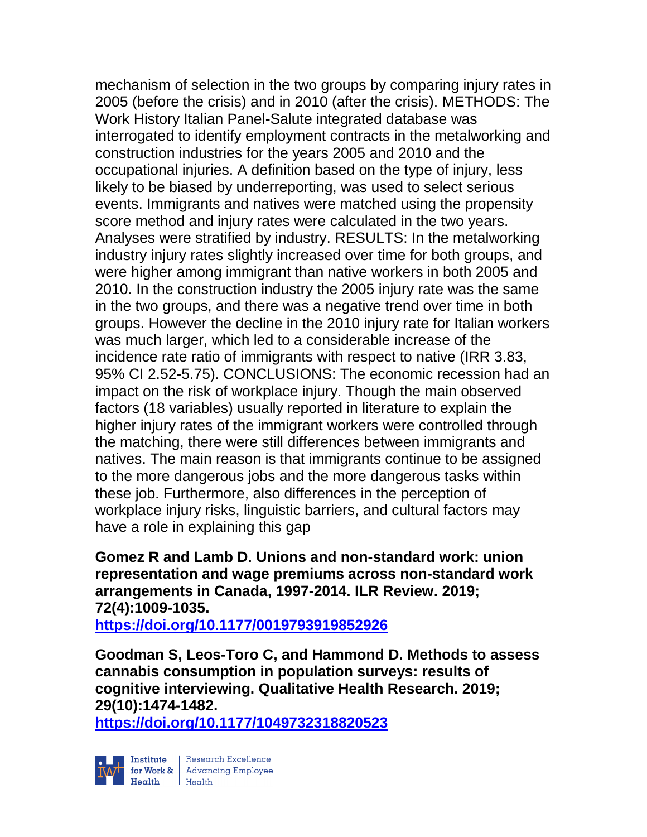mechanism of selection in the two groups by comparing injury rates in 2005 (before the crisis) and in 2010 (after the crisis). METHODS: The Work History Italian Panel-Salute integrated database was interrogated to identify employment contracts in the metalworking and construction industries for the years 2005 and 2010 and the occupational injuries. A definition based on the type of injury, less likely to be biased by underreporting, was used to select serious events. Immigrants and natives were matched using the propensity score method and injury rates were calculated in the two years. Analyses were stratified by industry. RESULTS: In the metalworking industry injury rates slightly increased over time for both groups, and were higher among immigrant than native workers in both 2005 and 2010. In the construction industry the 2005 injury rate was the same in the two groups, and there was a negative trend over time in both groups. However the decline in the 2010 injury rate for Italian workers was much larger, which led to a considerable increase of the incidence rate ratio of immigrants with respect to native (IRR 3.83, 95% CI 2.52-5.75). CONCLUSIONS: The economic recession had an impact on the risk of workplace injury. Though the main observed factors (18 variables) usually reported in literature to explain the higher injury rates of the immigrant workers were controlled through the matching, there were still differences between immigrants and natives. The main reason is that immigrants continue to be assigned to the more dangerous jobs and the more dangerous tasks within these job. Furthermore, also differences in the perception of workplace injury risks, linguistic barriers, and cultural factors may have a role in explaining this gap

#### **Gomez R and Lamb D. Unions and non-standard work: union representation and wage premiums across non-standard work arrangements in Canada, 1997-2014. ILR Review. 2019; 72(4):1009-1035.**

**<https://doi.org/10.1177/0019793919852926>** 

**Goodman S, Leos-Toro C, and Hammond D. Methods to assess cannabis consumption in population surveys: results of cognitive interviewing. Qualitative Health Research. 2019; 29(10):1474-1482.** 

**<https://doi.org/10.1177/1049732318820523>** 

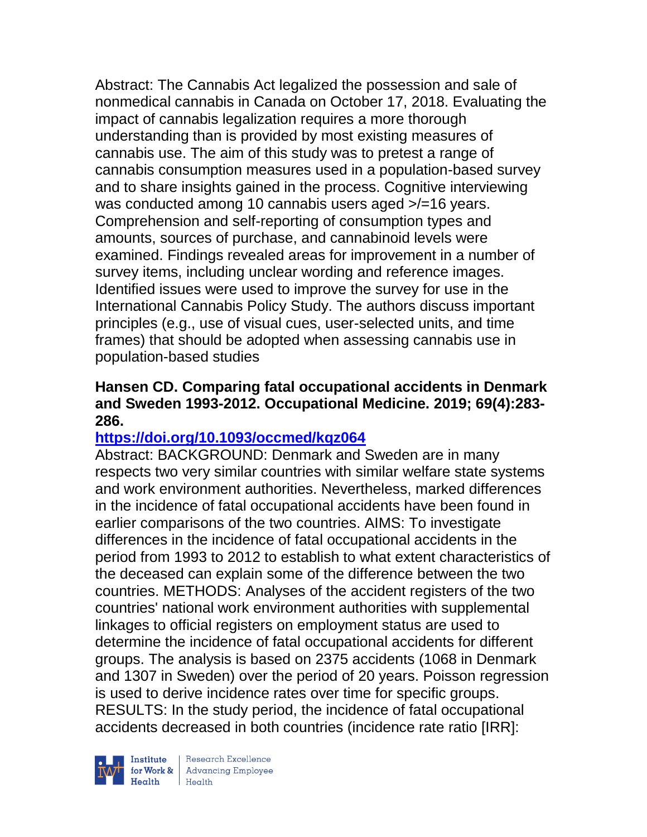Abstract: The Cannabis Act legalized the possession and sale of nonmedical cannabis in Canada on October 17, 2018. Evaluating the impact of cannabis legalization requires a more thorough understanding than is provided by most existing measures of cannabis use. The aim of this study was to pretest a range of cannabis consumption measures used in a population-based survey and to share insights gained in the process. Cognitive interviewing was conducted among 10 cannabis users aged >/=16 years. Comprehension and self-reporting of consumption types and amounts, sources of purchase, and cannabinoid levels were examined. Findings revealed areas for improvement in a number of survey items, including unclear wording and reference images. Identified issues were used to improve the survey for use in the International Cannabis Policy Study. The authors discuss important principles (e.g., use of visual cues, user-selected units, and time frames) that should be adopted when assessing cannabis use in population-based studies

### **Hansen CD. Comparing fatal occupational accidents in Denmark and Sweden 1993-2012. Occupational Medicine. 2019; 69(4):283- 286.**

### **<https://doi.org/10.1093/occmed/kqz064>**

Abstract: BACKGROUND: Denmark and Sweden are in many respects two very similar countries with similar welfare state systems and work environment authorities. Nevertheless, marked differences in the incidence of fatal occupational accidents have been found in earlier comparisons of the two countries. AIMS: To investigate differences in the incidence of fatal occupational accidents in the period from 1993 to 2012 to establish to what extent characteristics of the deceased can explain some of the difference between the two countries. METHODS: Analyses of the accident registers of the two countries' national work environment authorities with supplemental linkages to official registers on employment status are used to determine the incidence of fatal occupational accidents for different groups. The analysis is based on 2375 accidents (1068 in Denmark and 1307 in Sweden) over the period of 20 years. Poisson regression is used to derive incidence rates over time for specific groups. RESULTS: In the study period, the incidence of fatal occupational accidents decreased in both countries (incidence rate ratio [IRR]:



Research Excellence Finantium Research Excellence<br>
For Work & Advancing Employee<br>
Health Health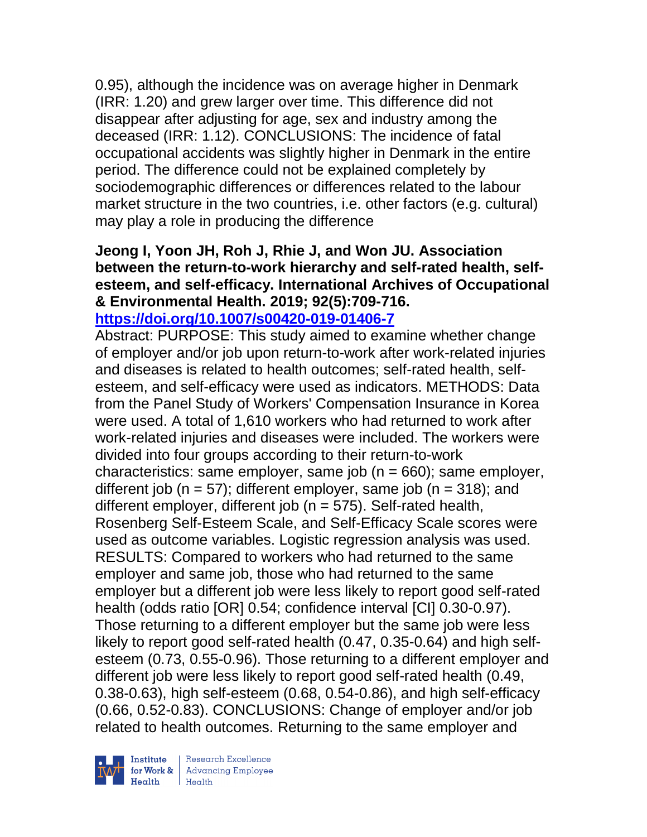0.95), although the incidence was on average higher in Denmark (IRR: 1.20) and grew larger over time. This difference did not disappear after adjusting for age, sex and industry among the deceased (IRR: 1.12). CONCLUSIONS: The incidence of fatal occupational accidents was slightly higher in Denmark in the entire period. The difference could not be explained completely by sociodemographic differences or differences related to the labour market structure in the two countries, i.e. other factors (e.g. cultural) may play a role in producing the difference

# **Jeong I, Yoon JH, Roh J, Rhie J, and Won JU. Association between the return-to-work hierarchy and self-rated health, selfesteem, and self-efficacy. International Archives of Occupational & Environmental Health. 2019; 92(5):709-716.**

**<https://doi.org/10.1007/s00420-019-01406-7>** 

Abstract: PURPOSE: This study aimed to examine whether change of employer and/or job upon return-to-work after work-related injuries and diseases is related to health outcomes; self-rated health, selfesteem, and self-efficacy were used as indicators. METHODS: Data from the Panel Study of Workers' Compensation Insurance in Korea were used. A total of 1,610 workers who had returned to work after work-related injuries and diseases were included. The workers were divided into four groups according to their return-to-work characteristics: same employer, same job ( $n = 660$ ); same employer, different job ( $n = 57$ ); different employer, same job ( $n = 318$ ); and different employer, different job ( $n = 575$ ). Self-rated health, Rosenberg Self-Esteem Scale, and Self-Efficacy Scale scores were used as outcome variables. Logistic regression analysis was used. RESULTS: Compared to workers who had returned to the same employer and same job, those who had returned to the same employer but a different job were less likely to report good self-rated health (odds ratio [OR] 0.54; confidence interval [CI] 0.30-0.97). Those returning to a different employer but the same job were less likely to report good self-rated health (0.47, 0.35-0.64) and high selfesteem (0.73, 0.55-0.96). Those returning to a different employer and different job were less likely to report good self-rated health (0.49, 0.38-0.63), high self-esteem (0.68, 0.54-0.86), and high self-efficacy (0.66, 0.52-0.83). CONCLUSIONS: Change of employer and/or job related to health outcomes. Returning to the same employer and



 $\begin{tabular}{|l|} Institute & Research Excellence \\ \hline for Work & Advancing Employee \\ Health & Health \\ \end{tabular}$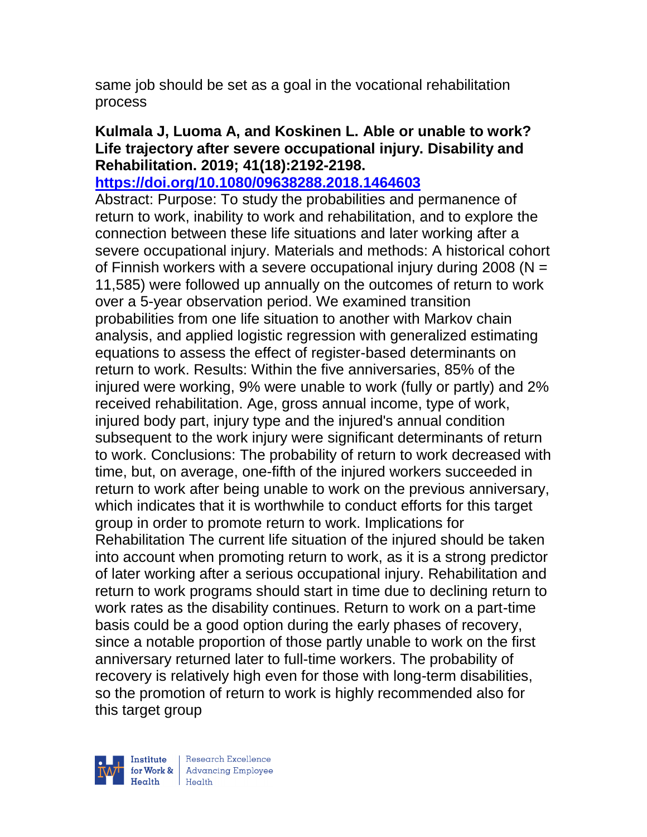same job should be set as a goal in the vocational rehabilitation process

## **Kulmala J, Luoma A, and Koskinen L. Able or unable to work? Life trajectory after severe occupational injury. Disability and Rehabilitation. 2019; 41(18):2192-2198.**

**<https://doi.org/10.1080/09638288.2018.1464603>** 

Abstract: Purpose: To study the probabilities and permanence of return to work, inability to work and rehabilitation, and to explore the connection between these life situations and later working after a severe occupational injury. Materials and methods: A historical cohort of Finnish workers with a severe occupational injury during 2008 ( $N =$ 11,585) were followed up annually on the outcomes of return to work over a 5-year observation period. We examined transition probabilities from one life situation to another with Markov chain analysis, and applied logistic regression with generalized estimating equations to assess the effect of register-based determinants on return to work. Results: Within the five anniversaries, 85% of the injured were working, 9% were unable to work (fully or partly) and 2% received rehabilitation. Age, gross annual income, type of work, injured body part, injury type and the injured's annual condition subsequent to the work injury were significant determinants of return to work. Conclusions: The probability of return to work decreased with time, but, on average, one-fifth of the injured workers succeeded in return to work after being unable to work on the previous anniversary, which indicates that it is worthwhile to conduct efforts for this target group in order to promote return to work. Implications for Rehabilitation The current life situation of the injured should be taken into account when promoting return to work, as it is a strong predictor of later working after a serious occupational injury. Rehabilitation and return to work programs should start in time due to declining return to work rates as the disability continues. Return to work on a part-time basis could be a good option during the early phases of recovery, since a notable proportion of those partly unable to work on the first anniversary returned later to full-time workers. The probability of recovery is relatively high even for those with long-term disabilities, so the promotion of return to work is highly recommended also for this target group



| Research Excellence for Work & Advancing Employee<br>Health Health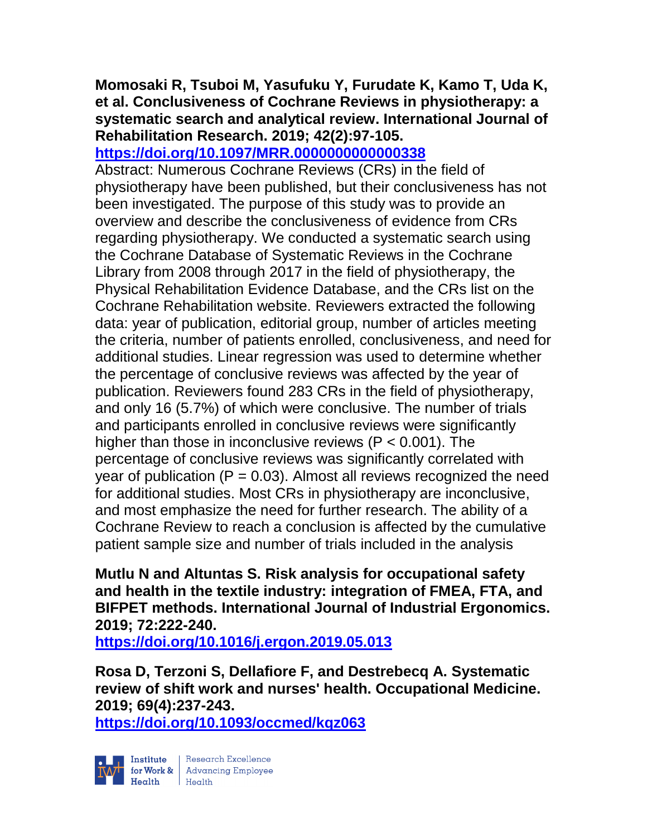## **Momosaki R, Tsuboi M, Yasufuku Y, Furudate K, Kamo T, Uda K, et al. Conclusiveness of Cochrane Reviews in physiotherapy: a systematic search and analytical review. International Journal of Rehabilitation Research. 2019; 42(2):97-105.**

# **<https://doi.org/10.1097/MRR.0000000000000338>**

Abstract: Numerous Cochrane Reviews (CRs) in the field of physiotherapy have been published, but their conclusiveness has not been investigated. The purpose of this study was to provide an overview and describe the conclusiveness of evidence from CRs regarding physiotherapy. We conducted a systematic search using the Cochrane Database of Systematic Reviews in the Cochrane Library from 2008 through 2017 in the field of physiotherapy, the Physical Rehabilitation Evidence Database, and the CRs list on the Cochrane Rehabilitation website. Reviewers extracted the following data: year of publication, editorial group, number of articles meeting the criteria, number of patients enrolled, conclusiveness, and need for additional studies. Linear regression was used to determine whether the percentage of conclusive reviews was affected by the year of publication. Reviewers found 283 CRs in the field of physiotherapy, and only 16 (5.7%) of which were conclusive. The number of trials and participants enrolled in conclusive reviews were significantly higher than those in inconclusive reviews ( $P < 0.001$ ). The percentage of conclusive reviews was significantly correlated with year of publication ( $P = 0.03$ ). Almost all reviews recognized the need for additional studies. Most CRs in physiotherapy are inconclusive, and most emphasize the need for further research. The ability of a Cochrane Review to reach a conclusion is affected by the cumulative patient sample size and number of trials included in the analysis

**Mutlu N and Altuntas S. Risk analysis for occupational safety and health in the textile industry: integration of FMEA, FTA, and BIFPET methods. International Journal of Industrial Ergonomics. 2019; 72:222-240.** 

**<https://doi.org/10.1016/j.ergon.2019.05.013>** 

**Rosa D, Terzoni S, Dellafiore F, and Destrebecq A. Systematic review of shift work and nurses' health. Occupational Medicine. 2019; 69(4):237-243.** 

**<https://doi.org/10.1093/occmed/kqz063>** 

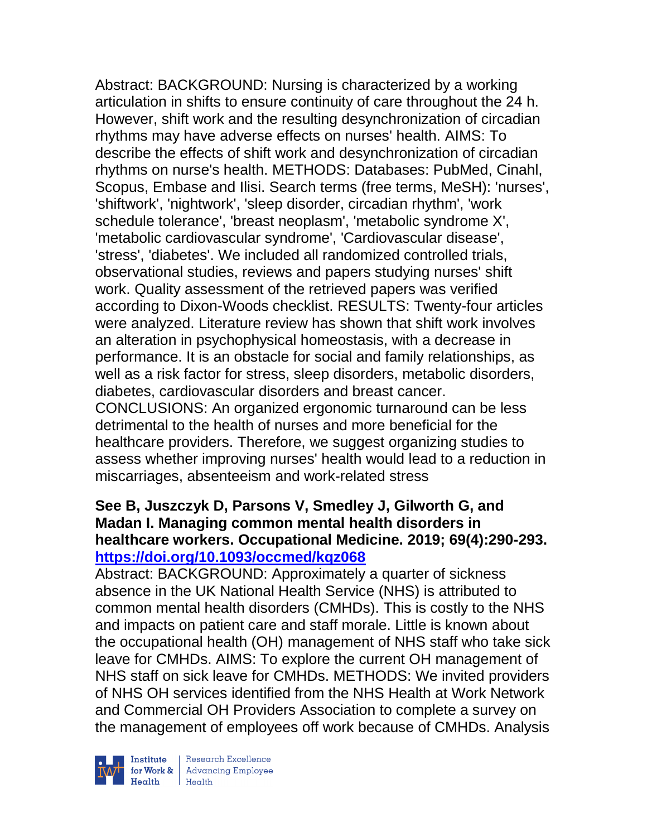Abstract: BACKGROUND: Nursing is characterized by a working articulation in shifts to ensure continuity of care throughout the 24 h. However, shift work and the resulting desynchronization of circadian rhythms may have adverse effects on nurses' health. AIMS: To describe the effects of shift work and desynchronization of circadian rhythms on nurse's health. METHODS: Databases: PubMed, Cinahl, Scopus, Embase and Ilisi. Search terms (free terms, MeSH): 'nurses', 'shiftwork', 'nightwork', 'sleep disorder, circadian rhythm', 'work schedule tolerance', 'breast neoplasm', 'metabolic syndrome X', 'metabolic cardiovascular syndrome', 'Cardiovascular disease', 'stress', 'diabetes'. We included all randomized controlled trials, observational studies, reviews and papers studying nurses' shift work. Quality assessment of the retrieved papers was verified according to Dixon-Woods checklist. RESULTS: Twenty-four articles were analyzed. Literature review has shown that shift work involves an alteration in psychophysical homeostasis, with a decrease in performance. It is an obstacle for social and family relationships, as well as a risk factor for stress, sleep disorders, metabolic disorders, diabetes, cardiovascular disorders and breast cancer. CONCLUSIONS: An organized ergonomic turnaround can be less detrimental to the health of nurses and more beneficial for the healthcare providers. Therefore, we suggest organizing studies to assess whether improving nurses' health would lead to a reduction in miscarriages, absenteeism and work-related stress

### **See B, Juszczyk D, Parsons V, Smedley J, Gilworth G, and Madan I. Managing common mental health disorders in healthcare workers. Occupational Medicine. 2019; 69(4):290-293. <https://doi.org/10.1093/occmed/kqz068>**

Abstract: BACKGROUND: Approximately a quarter of sickness absence in the UK National Health Service (NHS) is attributed to common mental health disorders (CMHDs). This is costly to the NHS and impacts on patient care and staff morale. Little is known about the occupational health (OH) management of NHS staff who take sick leave for CMHDs. AIMS: To explore the current OH management of NHS staff on sick leave for CMHDs. METHODS: We invited providers of NHS OH services identified from the NHS Health at Work Network and Commercial OH Providers Association to complete a survey on the management of employees off work because of CMHDs. Analysis



| Research Excellence for Work & Advancing Employee<br>Health Health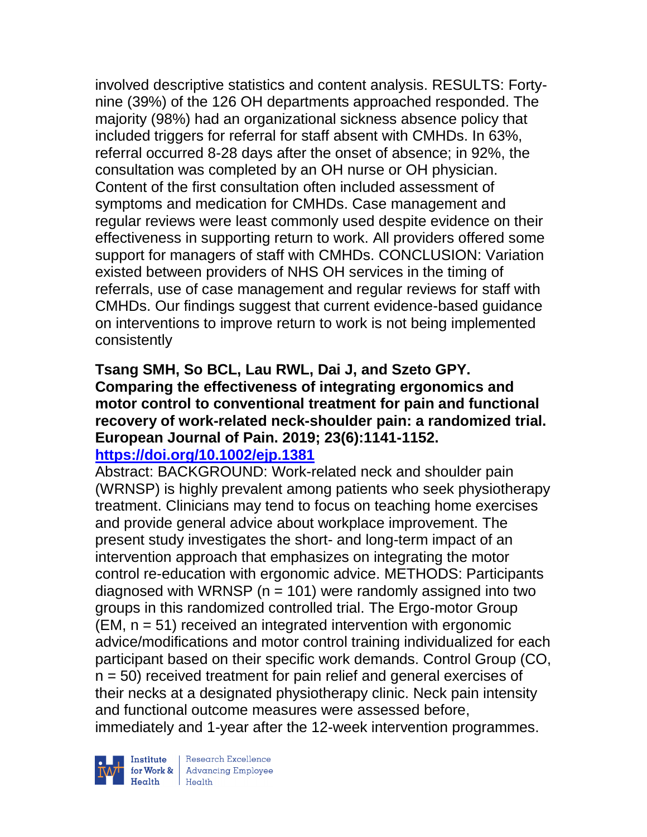involved descriptive statistics and content analysis. RESULTS: Fortynine (39%) of the 126 OH departments approached responded. The majority (98%) had an organizational sickness absence policy that included triggers for referral for staff absent with CMHDs. In 63%, referral occurred 8-28 days after the onset of absence; in 92%, the consultation was completed by an OH nurse or OH physician. Content of the first consultation often included assessment of symptoms and medication for CMHDs. Case management and regular reviews were least commonly used despite evidence on their effectiveness in supporting return to work. All providers offered some support for managers of staff with CMHDs. CONCLUSION: Variation existed between providers of NHS OH services in the timing of referrals, use of case management and regular reviews for staff with CMHDs. Our findings suggest that current evidence-based guidance on interventions to improve return to work is not being implemented consistently

#### **Tsang SMH, So BCL, Lau RWL, Dai J, and Szeto GPY. Comparing the effectiveness of integrating ergonomics and motor control to conventional treatment for pain and functional recovery of work-related neck-shoulder pain: a randomized trial. European Journal of Pain. 2019; 23(6):1141-1152. <https://doi.org/10.1002/ejp.1381>**

Abstract: BACKGROUND: Work-related neck and shoulder pain (WRNSP) is highly prevalent among patients who seek physiotherapy treatment. Clinicians may tend to focus on teaching home exercises and provide general advice about workplace improvement. The present study investigates the short- and long-term impact of an intervention approach that emphasizes on integrating the motor control re-education with ergonomic advice. METHODS: Participants diagnosed with WRNSP ( $n = 101$ ) were randomly assigned into two groups in this randomized controlled trial. The Ergo-motor Group  $(EM, n = 51)$  received an integrated intervention with ergonomic advice/modifications and motor control training individualized for each participant based on their specific work demands. Control Group (CO, n = 50) received treatment for pain relief and general exercises of their necks at a designated physiotherapy clinic. Neck pain intensity and functional outcome measures were assessed before, immediately and 1-year after the 12-week intervention programmes.



| Research Excellence Institute<br>
for Work & Advancing Employee<br>
Health Health